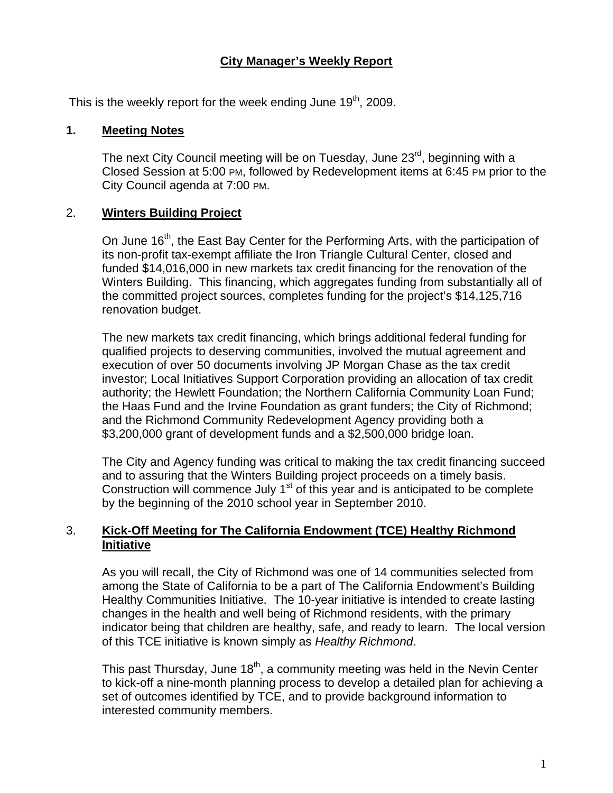# **City Manager's Weekly Report**

This is the weekly report for the week ending June  $19<sup>th</sup>$ , 2009.

#### **1. Meeting Notes**

The next City Council meeting will be on Tuesday, June 23<sup>rd</sup>, beginning with a Closed Session at 5:00 PM, followed by Redevelopment items at 6:45 PM prior to the City Council agenda at 7:00 PM.

#### 2. **Winters Building Project**

On June 16<sup>th</sup>, the East Bay Center for the Performing Arts, with the participation of its non-profit tax-exempt affiliate the Iron Triangle Cultural Center, closed and funded \$14,016,000 in new markets tax credit financing for the renovation of the Winters Building. This financing, which aggregates funding from substantially all of the committed project sources, completes funding for the project's \$14,125,716 renovation budget.

The new markets tax credit financing, which brings additional federal funding for qualified projects to deserving communities, involved the mutual agreement and execution of over 50 documents involving JP Morgan Chase as the tax credit investor; Local Initiatives Support Corporation providing an allocation of tax credit authority; the Hewlett Foundation; the Northern California Community Loan Fund; the Haas Fund and the Irvine Foundation as grant funders; the City of Richmond; and the Richmond Community Redevelopment Agency providing both a \$3,200,000 grant of development funds and a \$2,500,000 bridge loan.

The City and Agency funding was critical to making the tax credit financing succeed and to assuring that the Winters Building project proceeds on a timely basis. Construction will commence July  $1<sup>st</sup>$  of this year and is anticipated to be complete by the beginning of the 2010 school year in September 2010.

#### 3. **Kick-Off Meeting for The California Endowment (TCE) Healthy Richmond Initiative**

As you will recall, the City of Richmond was one of 14 communities selected from among the State of California to be a part of The California Endowment's Building Healthy Communities Initiative. The 10-year initiative is intended to create lasting changes in the health and well being of Richmond residents, with the primary indicator being that children are healthy, safe, and ready to learn. The local version of this TCE initiative is known simply as *Healthy Richmond*.

This past Thursday, June  $18<sup>th</sup>$ , a community meeting was held in the Nevin Center to kick-off a nine-month planning process to develop a detailed plan for achieving a set of outcomes identified by TCE, and to provide background information to interested community members.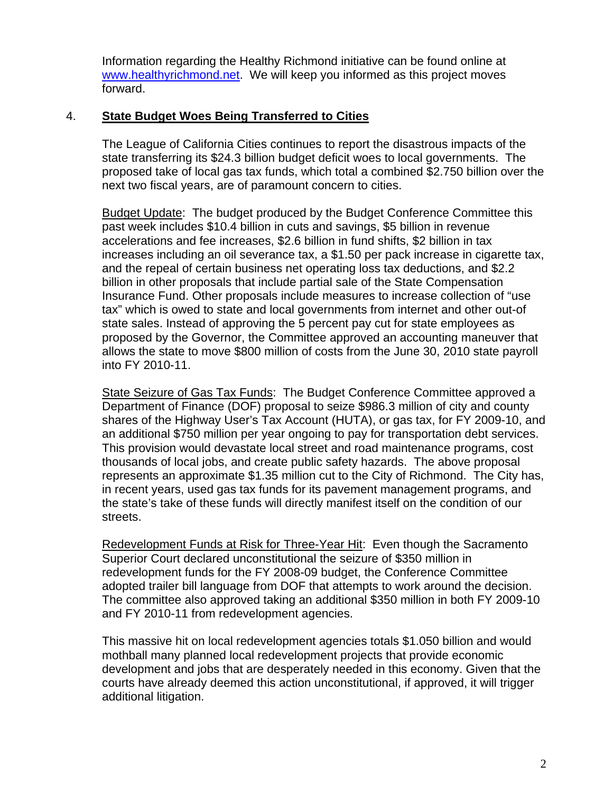Information regarding the Healthy Richmond initiative can be found online at [www.healthyrichmond.net](http://www.healthyrichmond.net/). We will keep you informed as this project moves forward.

# 4. **State Budget Woes Being Transferred to Cities**

The League of California Cities continues to report the disastrous impacts of the state transferring its \$24.3 billion budget deficit woes to local governments. The proposed take of local gas tax funds, which total a combined \$2.750 billion over the next two fiscal years, are of paramount concern to cities.

Budget Update: The budget produced by the Budget Conference Committee this past week includes \$10.4 billion in cuts and savings, \$5 billion in revenue accelerations and fee increases, \$2.6 billion in fund shifts, \$2 billion in tax increases including an oil severance tax, a \$1.50 per pack increase in cigarette tax, and the repeal of certain business net operating loss tax deductions, and \$2.2 billion in other proposals that include partial sale of the State Compensation Insurance Fund. Other proposals include measures to increase collection of "use tax" which is owed to state and local governments from internet and other out-of state sales. Instead of approving the 5 percent pay cut for state employees as proposed by the Governor, the Committee approved an accounting maneuver that allows the state to move \$800 million of costs from the June 30, 2010 state payroll into FY 2010-11.

State Seizure of Gas Tax Funds: The Budget Conference Committee approved a Department of Finance (DOF) proposal to seize \$986.3 million of city and county shares of the Highway User's Tax Account (HUTA), or gas tax, for FY 2009-10, and an additional \$750 million per year ongoing to pay for transportation debt services. This provision would devastate local street and road maintenance programs, cost thousands of local jobs, and create public safety hazards. The above proposal represents an approximate \$1.35 million cut to the City of Richmond. The City has, in recent years, used gas tax funds for its pavement management programs, and the state's take of these funds will directly manifest itself on the condition of our streets.

Redevelopment Funds at Risk for Three-Year Hit: Even though the Sacramento Superior Court declared unconstitutional the seizure of \$350 million in redevelopment funds for the FY 2008-09 budget, the Conference Committee adopted trailer bill language from DOF that attempts to work around the decision. The committee also approved taking an additional \$350 million in both FY 2009-10 and FY 2010-11 from redevelopment agencies.

This massive hit on local redevelopment agencies totals \$1.050 billion and would mothball many planned local redevelopment projects that provide economic development and jobs that are desperately needed in this economy. Given that the courts have already deemed this action unconstitutional, if approved, it will trigger additional litigation.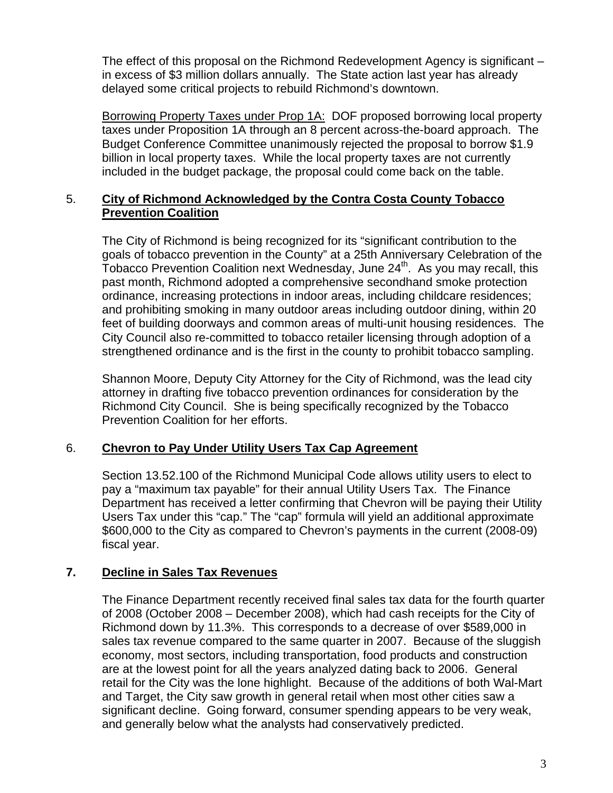The effect of this proposal on the Richmond Redevelopment Agency is significant – in excess of \$3 million dollars annually. The State action last year has already delayed some critical projects to rebuild Richmond's downtown.

Borrowing Property Taxes under Prop 1A: DOF proposed borrowing local property taxes under Proposition 1A through an 8 percent across-the-board approach. The Budget Conference Committee unanimously rejected the proposal to borrow \$1.9 billion in local property taxes. While the local property taxes are not currently included in the budget package, the proposal could come back on the table.

#### 5. **City of Richmond Acknowledged by the Contra Costa County Tobacco Prevention Coalition**

The City of Richmond is being recognized for its "significant contribution to the goals of tobacco prevention in the County" at a 25th Anniversary Celebration of the Tobacco Prevention Coalition next Wednesday, June  $24<sup>th</sup>$ . As you may recall, this past month, Richmond adopted a comprehensive secondhand smoke protection ordinance, increasing protections in indoor areas, including childcare residences; and prohibiting smoking in many outdoor areas including outdoor dining, within 20 feet of building doorways and common areas of multi-unit housing residences. The City Council also re-committed to tobacco retailer licensing through adoption of a strengthened ordinance and is the first in the county to prohibit tobacco sampling.

Shannon Moore, Deputy City Attorney for the City of Richmond, was the lead city attorney in drafting five tobacco prevention ordinances for consideration by the Richmond City Council. She is being specifically recognized by the Tobacco Prevention Coalition for her efforts.

# 6. **Chevron to Pay Under Utility Users Tax Cap Agreement**

Section 13.52.100 of the Richmond Municipal Code allows utility users to elect to pay a "maximum tax payable" for their annual Utility Users Tax. The Finance Department has received a letter confirming that Chevron will be paying their Utility Users Tax under this "cap." The "cap" formula will yield an additional approximate \$600,000 to the City as compared to Chevron's payments in the current (2008-09) fiscal year.

# **7. Decline in Sales Tax Revenues**

The Finance Department recently received final sales tax data for the fourth quarter of 2008 (October 2008 – December 2008), which had cash receipts for the City of Richmond down by 11.3%. This corresponds to a decrease of over \$589,000 in sales tax revenue compared to the same quarter in 2007. Because of the sluggish economy, most sectors, including transportation, food products and construction are at the lowest point for all the years analyzed dating back to 2006. General retail for the City was the lone highlight. Because of the additions of both Wal-Mart and Target, the City saw growth in general retail when most other cities saw a significant decline. Going forward, consumer spending appears to be very weak, and generally below what the analysts had conservatively predicted.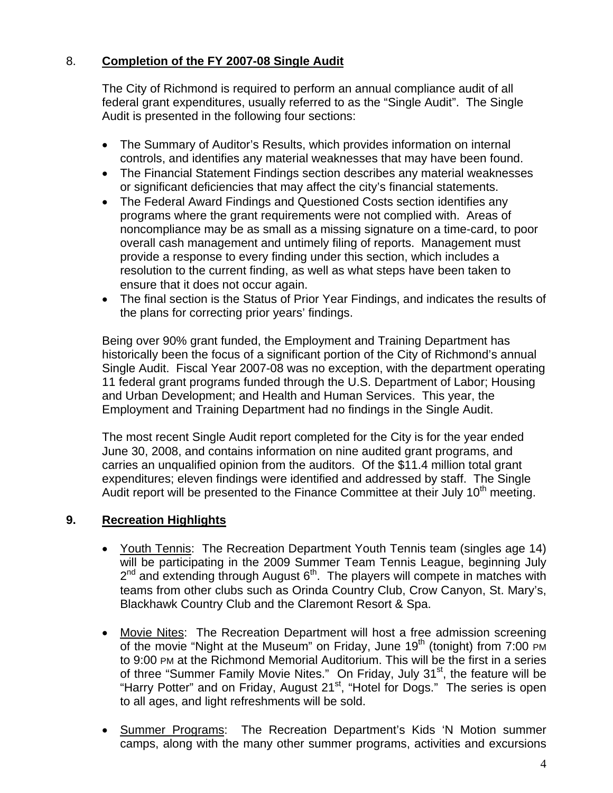# 8. **Completion of the FY 2007-08 Single Audit**

The City of Richmond is required to perform an annual compliance audit of all federal grant expenditures, usually referred to as the "Single Audit". The Single Audit is presented in the following four sections:

- The Summary of Auditor's Results, which provides information on internal controls, and identifies any material weaknesses that may have been found.
- The Financial Statement Findings section describes any material weaknesses or significant deficiencies that may affect the city's financial statements.
- The Federal Award Findings and Questioned Costs section identifies any programs where the grant requirements were not complied with. Areas of noncompliance may be as small as a missing signature on a time-card, to poor overall cash management and untimely filing of reports. Management must provide a response to every finding under this section, which includes a resolution to the current finding, as well as what steps have been taken to ensure that it does not occur again.
- The final section is the Status of Prior Year Findings, and indicates the results of the plans for correcting prior years' findings.

Being over 90% grant funded, the Employment and Training Department has historically been the focus of a significant portion of the City of Richmond's annual Single Audit. Fiscal Year 2007-08 was no exception, with the department operating 11 federal grant programs funded through the U.S. Department of Labor; Housing and Urban Development; and Health and Human Services. This year, the Employment and Training Department had no findings in the Single Audit.

The most recent Single Audit report completed for the City is for the year ended June 30, 2008, and contains information on nine audited grant programs, and carries an unqualified opinion from the auditors. Of the \$11.4 million total grant expenditures; eleven findings were identified and addressed by staff. The Single Audit report will be presented to the Finance Committee at their July 10<sup>th</sup> meeting.

# **9. Recreation Highlights**

- Youth Tennis: The Recreation Department Youth Tennis team (singles age 14) will be participating in the 2009 Summer Team Tennis League, beginning July  $2<sup>nd</sup>$  and extending through August  $6<sup>th</sup>$ . The players will compete in matches with teams from other clubs such as Orinda Country Club, Crow Canyon, St. Mary's, Blackhawk Country Club and the Claremont Resort & Spa.
- Movie Nites: The Recreation Department will host a free admission screening of the movie "Night at the Museum" on Friday, June  $19<sup>th</sup>$  (tonight) from 7:00 PM to 9:00 PM at the Richmond Memorial Auditorium. This will be the first in a series of three "Summer Family Movie Nites." On Friday, July 31<sup>st</sup>, the feature will be "Harry Potter" and on Friday, August 21<sup>st</sup>, "Hotel for Dogs." The series is open to all ages, and light refreshments will be sold.
- Summer Programs: The Recreation Department's Kids 'N Motion summer camps, along with the many other summer programs, activities and excursions